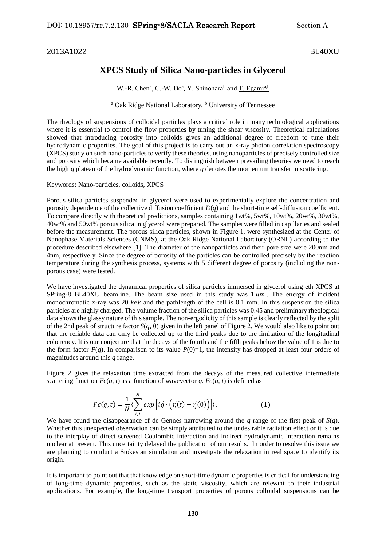## 2013A1022 BL40XU

## **XPCS Study of Silica Nano-particles in Glycerol**

W.-R. Chen<sup>a</sup>, C.-W. Do<sup>a</sup>, Y. Shinohara<sup>b</sup> and T. Egami<sup>a,b</sup>

<sup>a</sup> Oak Ridge National Laboratory, <sup>b</sup> University of Tennessee

The rheology of suspensions of colloidal particles plays a critical role in many technological applications where it is essential to control the flow properties by tuning the shear viscosity. Theoretical calculations showed that introducing porosity into colloids gives an additional degree of freedom to tune their hydrodynamic properties. The goal of this project is to carry out an x-ray photon correlation spectroscopy (XPCS) study on such nano-particles to verify these theories, using nanoparticles of precisely controlled size and porosity which became available recently. To distinguish between prevailing theories we need to reach the high  $q$  plateau of the hydrodynamic function, where  $q$  denotes the momentum transfer in scattering.

## Keywords: Nano-particles, colloids, XPCS

Porous silica particles suspended in glycerol were used to experimentally explore the concentration and porosity dependence of the collective diffusion coefficient *D*(*q*) and the short-time self-diffusion coefficient. To compare directly with theoretical predictions, samples containing 1wt%, 5wt%, 10wt%, 20wt%, 30wt%, 40wt% and 50wt% porous silica in glycerol were prepared. The samples were filled in capillaries and sealed before the measurement. The porous silica particles, shown in Figure 1, were synthesized at the Center of Nanophase Materials Sciences (CNMS), at the Oak Ridge National Laboratory (ORNL) according to the procedure described elsewhere [1]. The diameter of the nanoparticles and their pore size were 200nm and 4nm, respectively. Since the degree of porosity of the particles can be controlled precisely by the reaction temperature during the synthesis process, systems with 5 different degree of porosity (including the nonporous case) were tested.

We have investigated the dynamical properties of silica particles immersed in glycerol using eth XPCS at SPring-8 BL40XU beamline. The beam size used in this study was  $1 \mu m$ . The energy of incident monochromatic x-ray was 20 *keV* and the pathlength of the cell is 0.1 mm. In this suspension the silica particles are highly charged. The volume fraction of the silica particles was 0.45 and preliminary rheological data shows the glassy nature of this sample. The non-ergodicity of this sample is clearly reflected by the split of the 2nd peak of structure factor *S*(*q*, 0) given in the left panel of Figure 2. We would also like to point out that the reliable data can only be collected up to the third peaks due to the limitation of the longitudinal coherency. It is our conjecture that the decays of the fourth and the fifth peaks below the value of 1 is due to the form factor  $P(q)$ . In comparison to its value  $P(0)=1$ , the intensity has dropped at least four orders of magnitudes around this *q* range.

Figure 2 gives the relaxation time extracted from the decays of the measured collective intermediate scattering function  $Fc(q, t)$  as a function of wavevector *q*.  $Fc(q, t)$  is defined as

$$
Fc(q,t) = \frac{1}{N} \langle \sum_{i,j}^{N} exp\left[i\vec{q} \cdot (\vec{r_i}(t) - \vec{r_j}(0))\right]\rangle,
$$
 (1)

We have found the disappearance of de Gennes narrowing around the *q* range of the first peak of *S*(*q*). Whether this unexpected observation can be simply attributed to the undesirable radiation effect or it is due to the interplay of direct screened Coulombic interaction and indirect hydrodynamic interaction remains unclear at present. This uncertainty delayed the publication of our results. In order to resolve this issue we are planning to conduct a Stokesian simulation and investigate the relaxation in real space to identify its origin.

It is important to point out that that knowledge on short-time dynamic properties is critical for understanding of long-time dynamic properties, such as the static viscosity, which are relevant to their industrial applications. For example, the long-time transport properties of porous colloidal suspensions can be